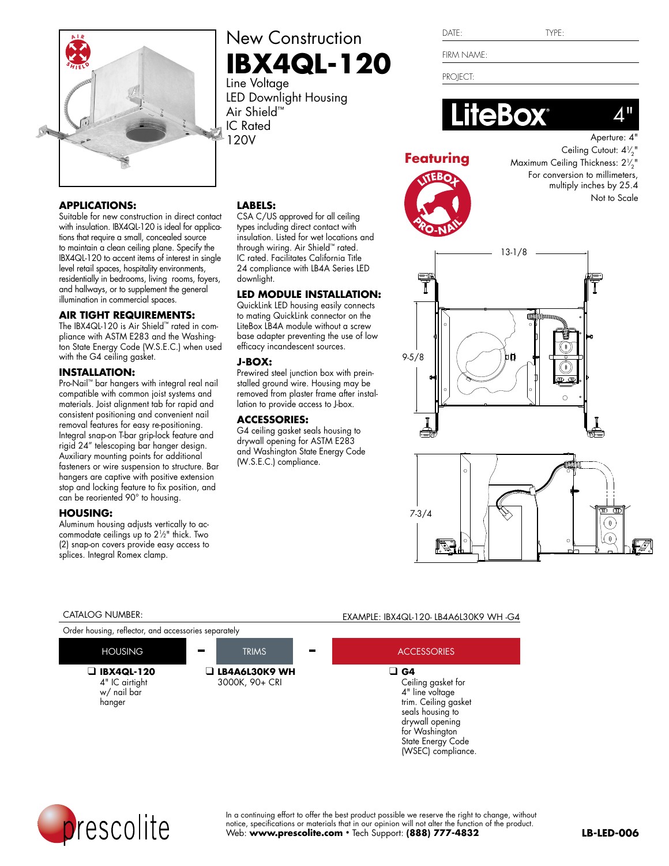

### **APPLICATIONS:**

Suitable for new construction in direct contact with insulation. IBX4QL-120 is ideal for applications that require a small, concealed source to maintain a clean ceiling plane. Specify the IBX4QL-120 to accent items of interest in single level retail spaces, hospitality environments, residentially in bedrooms, living rooms, foyers, and hallways, or to supplement the general illumination in commercial spaces.

### **AIR TIGHT REQUIREMENTS:**

The IBX4QL-120 is Air Shield™ rated in compliance with ASTM E283 and the Washington State Energy Code (W.S.E.C.) when used with the G4 ceiling gasket.

### **INSTALLATION:**

Pro-Nail™ bar hangers with integral real nail compatible with common joist systems and materials. Joist alignment tab for rapid and consistent positioning and convenient nail removal features for easy re-positioning. Integral snap-on T-bar grip-lock feature and rigid 24" telescoping bar hanger design. Auxiliary mounting points for additional fasteners or wire suspension to structure. Bar hangers are captive with positive extension stop and locking feature to fix position, and can be reoriented 90° to housing.

### **HOUSING:**

Aluminum housing adjusts vertically to accommodate ceilings up to 21⁄2" thick. Two (2) snap-on covers provide easy access to splices. Integral Romex clamp.

## New Construction **IBX4QL-120**

Line Voltage LED Downlight Housing Air Shield™ IC Rated 120V

CSA C/US approved for all ceiling types including direct contact with insulation. Listed for wet locations and through wiring. Air Shield™ rated. IC rated. Facilitates California Title 24 compliance with LB4A Series LED

**LED MODULE INSTALLATION:** QuickLink LED housing easily connects to mating QuickLink connector on the LiteBox LB4A module without a screw base adapter preventing the use of low efficacy incandescent sources.

Prewired steel junction box with preinstalled ground wire. Housing may be removed from plaster frame after installation to provide access to J-box.

G4 ceiling gasket seals housing to drywall opening for ASTM E283 and Washington State Energy Code

**LABELS:**

downlight.

**J-BOX:**

**ACCESSORIES:**

(W.S.E.C.) compliance.

| .,<br> |  |
|--------|--|
|        |  |

FIRM NAME:

PROJECT:



### **Featuring**



Ceiling Cutout: 4 $\frac{1}{2}$ " Maximum Ceiling Thickness: 2 $\frac{1}{2}$ " For conversion to millimeters, multiply inches by 25.4 Not to Scale



# 7-3/4  $\widehat{\mathfrak{g}}$  $\not\!\!\!D$

Order housing, reflector, and accessories separately

❑ **IBX4QL-120** 4" IC airtight w/ nail bar hanger



### CATALOG NUMBER: EXAMPLE: IBX4QL-120- LB4A6L30K9 WH -G4





In a continuing effort to offer the best product possible we reserve the right to change, without notice, specifications or materials that in our opinion will not alter the function of the product. Web: **www.prescolite.com** • Tech Support: **(888) 777-4832**